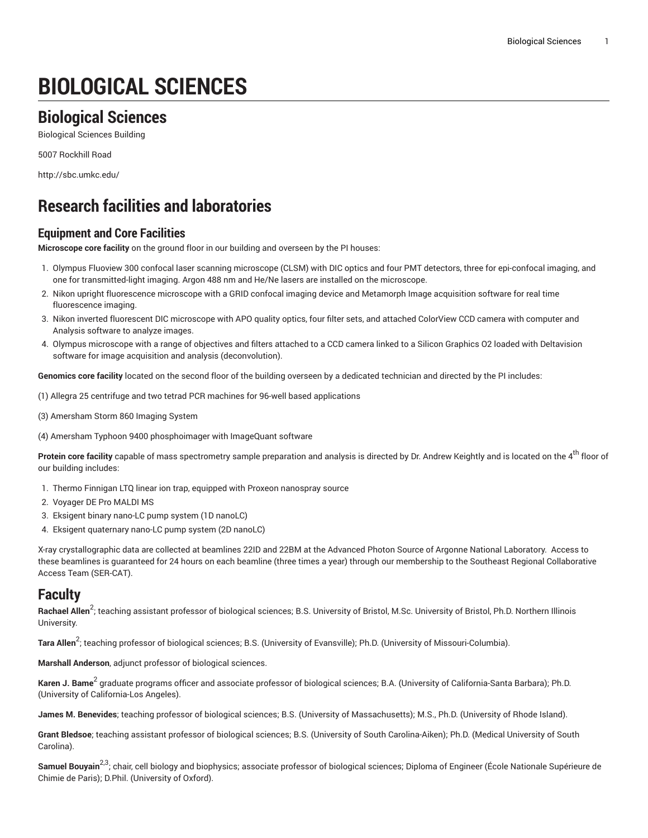# **BIOLOGICAL SCIENCES**

# **Biological Sciences**

Biological Sciences Building

5007 Rockhill Road

<http://sbc.umkc.edu/>

# **Research facilities and laboratories**

### **Equipment and Core Facilities**

**Microscope core facility** on the ground floor in our building and overseen by the PI houses:

- 1. Olympus Fluoview 300 confocal laser scanning microscope (CLSM) with DIC optics and four PMT detectors, three for epi-confocal imaging, and one for transmitted-light imaging. Argon 488 nm and He/Ne lasers are installed on the microscope.
- 2. Nikon upright fluorescence microscope with a GRID confocal imaging device and Metamorph Image acquisition software for real time fluorescence imaging.
- 3. Nikon inverted fluorescent DIC microscope with APO quality optics, four filter sets, and attached ColorView CCD camera with computer and Analysis software to analyze images.
- 4. Olympus microscope with a range of objectives and filters attached to a CCD camera linked to a Silicon Graphics O2 loaded with Deltavision software for image acquisition and analysis (deconvolution).

**Genomics core facility** located on the second floor of the building overseen by a dedicated technician and directed by the PI includes:

- (1) Allegra 25 centrifuge and two tetrad PCR machines for 96-well based applications
- (3) Amersham Storm 860 Imaging System
- (4) Amersham Typhoon 9400 phosphoimager with ImageQuant software

**Protein core facility** capable of mass spectrometry sample preparation and analysis is directed by Dr. Andrew Keightly and is located on the 4<sup>th</sup> floor of our building includes:

- 1. Thermo Finnigan LTQ linear ion trap, equipped with Proxeon nanospray source
- 2. Voyager DE Pro MALDI MS
- 3. Eksigent binary nano-LC pump system (1D nanoLC)
- 4. Eksigent quaternary nano-LC pump system (2D nanoLC)

X-ray crystallographic data are collected at beamlines 22ID and 22BM at the Advanced Photon Source of Argonne National Laboratory. Access to these beamlines is guaranteed for 24 hours on each beamline (three times a year) through our membership to the Southeast Regional Collaborative Access Team (SER-CAT).

### **Faculty**

**Rachael Allen<sup>2</sup>;** teaching assistant professor of biological sciences; B.S. University of Bristol, M.Sc. University of Bristol, Ph.D. Northern Illinois University.

**Tara Allen** 2 ; teaching professor of biological sciences; B.S. (University of Evansville); Ph.D. (University of Missouri-Columbia).

**Marshall Anderson**, adjunct professor of biological sciences.

**Karen J. Bame<sup>2</sup> gr**aduate programs officer and associate professor of biological sciences; B.A. (University of California-Santa Barbara); Ph.D. (University of California-Los Angeles).

**James M. Benevides**; teaching professor of biological sciences; B.S. (University of Massachusetts); M.S., Ph.D. (University of Rhode Island).

**Grant Bledsoe**; teaching assistant professor of biological sciences; B.S. (University of South Carolina-Aiken); Ph.D. (Medical University of South Carolina).

**Samuel Bouyain<sup>2,3</sup>;** chair, cell biology and biophysics; associate professor of biological sciences; Diploma of Engineer (École Nationale Supérieure de Chimie de Paris); D.Phil. (University of Oxford).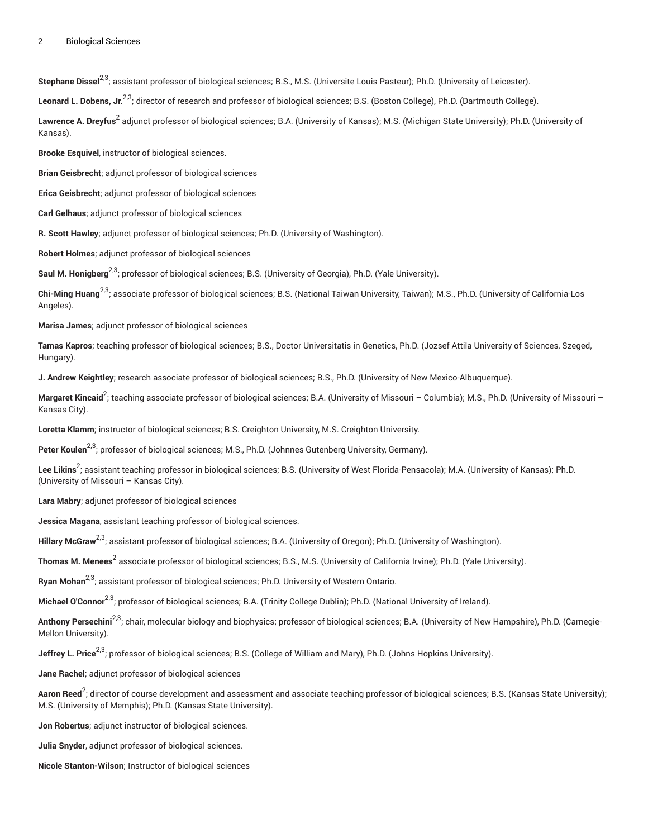#### 2 Biological Sciences

Stephane Dissel<sup>2,3</sup>; assistant professor of biological sciences; B.S., M.S. (Universite Louis Pasteur); Ph.D. (University of Leicester).

**Leonard L. Dobens, Jr.** 2,3; director of research and professor of biological sciences; B.S. (Boston College), Ph.D. (Dartmouth College).

**Lawrence A. Dreyfus<sup>2</sup> adjunct professor of biological sciences; B.A. (University of Kansas); M.S. (Michigan State University); Ph.D. (University of** Kansas).

**Brooke Esquivel**, instructor of biological sciences.

**Brian Geisbrecht**; adjunct professor of biological sciences

**Erica Geisbrecht**; adjunct professor of biological sciences

**Carl Gelhaus**; adjunct professor of biological sciences

**R. Scott Hawley**; adjunct professor of biological sciences; Ph.D. (University of Washington).

**Robert Holmes**; adjunct professor of biological sciences

Saul M. Honigberg<sup>2,3</sup>; professor of biological sciences; B.S. (University of Georgia), Ph.D. (Yale University).

**Chi-Ming Huang**<sup>2,3</sup>; associate professor of biological sciences; B.S. (National Taiwan University, Taiwan); M.S., Ph.D. (University of California-Los Angeles).

**Marisa James**; adjunct professor of biological sciences

**Tamas Kapros**; teaching professor of biological sciences; B.S., Doctor Universitatis in Genetics, Ph.D. (Jozsef Attila University of Sciences, Szeged, Hungary).

**J. Andrew Keightley**; research associate professor of biological sciences; B.S., Ph.D. (University of New Mexico-Albuquerque).

**Margaret Kincaid<sup>2</sup>;** teaching associate professor of biological sciences; B.A. (University of Missouri – Columbia); M.S., Ph.D. (University of Missouri – Kansas City).

**Loretta Klamm**; instructor of biological sciences; B.S. Creighton University, M.S. Creighton University.

**Peter Koulen** 2,3; professor of biological sciences; M.S., Ph.D. (Johnnes Gutenberg University, Germany).

**Lee Likins<sup>2</sup>;** assistant teaching professor in biological sciences; B.S. (University of West Florida-Pensacola); M.A. (University of Kansas); Ph.D. (University of Missouri – Kansas City).

**Lara Mabry**; adjunct professor of biological sciences

**Jessica Magana**, assistant teaching professor of biological sciences.

**Hillary McGraw** 2,3; assistant professor of biological sciences; B.A. (University of Oregon); Ph.D. (University of Washington).

**Thomas M. Menees<sup>2</sup> associate professor of biological sciences; B.S., M.S. (University of California Irvine); Ph.D. (Yale University).** 

**Ryan Mohan** 2,3; assistant professor of biological sciences; Ph.D. University of Western Ontario.

**Michael O'Connor**2,3; professor of biological sciences; B.A. (Trinity College Dublin); Ph.D. (National University of Ireland).

**Anthony Persechini<sup>2,3</sup>;** chair, molecular biology and biophysics; professor of biological sciences; B.A. (University of New Hampshire), Ph.D. (Carnegie-Mellon University).

**Jeffrey L. Price** 2,3; professor of biological sciences; B.S. (College of William and Mary), Ph.D. (Johns Hopkins University).

**Jane Rachel**; adjunct professor of biological sciences

**Aaron Reed<sup>2</sup>;** director of course development and assessment and associate teaching professor of biological sciences; B.S. (Kansas State University); M.S. (University of Memphis); Ph.D. (Kansas State University).

**Jon Robertus**; adjunct instructor of biological sciences.

**Julia Snyder**, adjunct professor of biological sciences.

**Nicole Stanton-Wilson**; Instructor of biological sciences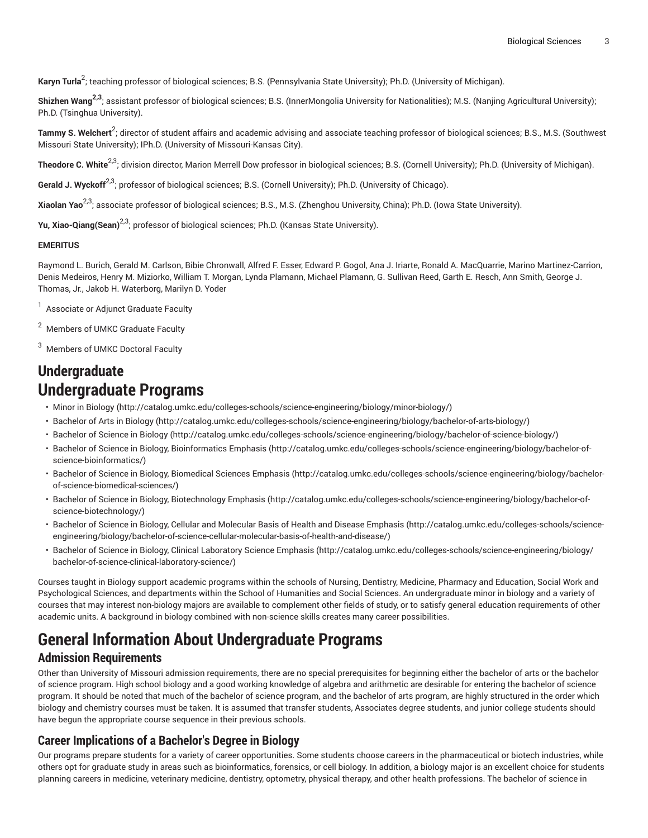**Karyn Turla** 2 ; teaching professor of biological sciences; B.S. (Pennsylvania State University); Ph.D. (University of Michigan).

**Shizhen Wang 2,3**; assistant professor of biological sciences; B.S. (InnerMongolia University for Nationalities); M.S. (Nanjing Agricultural University); Ph.D. (Tsinghua University).

**Tammy S. Welchert<sup>2</sup>;** director of student affairs and academic advising and associate teaching professor of biological sciences; B.S., M.S. (Southwest Missouri State University); IPh.D. (University of Missouri-Kansas City).

**Theodore C. White<sup>2,3</sup>;** division director, Marion Merrell Dow professor in biological sciences; B.S. (Cornell University); Ph.D. (University of Michigan).

**Gerald J. Wyckoff<sup>2,3</sup>; professor of biological sciences; B.S. (Cornell University); Ph.D. (University of Chicago).** 

**Xiaolan Yao** 2,3; associate professor of biological sciences; B.S., M.S. (Zhenghou University, China); Ph.D. (Iowa State University).

**Yu, Xiao-Qiang(Sean)** 2,3; professor of biological sciences; Ph.D. (Kansas State University).

#### **EMERITUS**

Raymond L. Burich, Gerald M. Carlson, Bibie Chronwall, Alfred F. Esser, Edward P. Gogol, Ana J. Iriarte, Ronald A. MacQuarrie, Marino Martinez-Carrion, Denis Medeiros, Henry M. Miziorko, William T. Morgan, Lynda Plamann, Michael Plamann, G. Sullivan Reed, Garth E. Resch, Ann Smith, George J. Thomas, Jr., Jakob H. Waterborg, Marilyn D. Yoder

<sup>1</sup> Associate or Adjunct Graduate Faculty

<sup>2</sup> Members of UMKC Graduate Faculty

<sup>3</sup> Members of UMKC Doctoral Faculty

# **Undergraduate Undergraduate Programs**

- [Minor in Biology](http://catalog.umkc.edu/colleges-schools/science-engineering/biology/minor-biology/) ([http://catalog.umkc.edu/colleges-schools/science-engineering/biology/minor-biology/\)](http://catalog.umkc.edu/colleges-schools/science-engineering/biology/minor-biology/)
- [Bachelor](http://catalog.umkc.edu/colleges-schools/science-engineering/biology/bachelor-of-arts-biology/) of Arts in Biology (<http://catalog.umkc.edu/colleges-schools/science-engineering/biology/bachelor-of-arts-biology/>)
- [Bachelor of Science in Biology \(http://catalog.umkc.edu/colleges-schools/science-engineering/biology/bachelor-of-science-biology/](http://catalog.umkc.edu/colleges-schools/science-engineering/biology/bachelor-of-science-biology/))
- Bachelor of Science in Biology, [Bioinformatics](http://catalog.umkc.edu/colleges-schools/science-engineering/biology/bachelor-of-science-bioinformatics/) Emphasis ([http://catalog.umkc.edu/colleges-schools/science-engineering/biology/bachelor-of](http://catalog.umkc.edu/colleges-schools/science-engineering/biology/bachelor-of-science-bioinformatics/)[science-bioinformatics/](http://catalog.umkc.edu/colleges-schools/science-engineering/biology/bachelor-of-science-bioinformatics/))
- Bachelor of Science in Biology, [Biomedical](http://catalog.umkc.edu/colleges-schools/science-engineering/biology/bachelor-of-science-biomedical-sciences/) Sciences Emphasis ([http://catalog.umkc.edu/colleges-schools/science-engineering/biology/bachelor](http://catalog.umkc.edu/colleges-schools/science-engineering/biology/bachelor-of-science-biomedical-sciences/)[of-science-biomedical-sciences/](http://catalog.umkc.edu/colleges-schools/science-engineering/biology/bachelor-of-science-biomedical-sciences/))
- Bachelor of Science in Biology, [Biotechnology](http://catalog.umkc.edu/colleges-schools/science-engineering/biology/bachelor-of-science-biotechnology/) Emphasis ([http://catalog.umkc.edu/colleges-schools/science-engineering/biology/bachelor-of](http://catalog.umkc.edu/colleges-schools/science-engineering/biology/bachelor-of-science-biotechnology/)[science-biotechnology/](http://catalog.umkc.edu/colleges-schools/science-engineering/biology/bachelor-of-science-biotechnology/))
- Bachelor of Science in Biology, Cellular and [Molecular](http://catalog.umkc.edu/colleges-schools/science-engineering/biology/bachelor-of-science-cellular-molecular-basis-of-health-and-disease/) Basis of Health and Disease Emphasis ([http://catalog.umkc.edu/colleges-schools/science](http://catalog.umkc.edu/colleges-schools/science-engineering/biology/bachelor-of-science-cellular-molecular-basis-of-health-and-disease/)[engineering/biology/bachelor-of-science-cellular-molecular-basis-of-health-and-disease/](http://catalog.umkc.edu/colleges-schools/science-engineering/biology/bachelor-of-science-cellular-molecular-basis-of-health-and-disease/))
- Bachelor of Science in Biology, Clinical [Laboratory](http://catalog.umkc.edu/colleges-schools/science-engineering/biology/bachelor-of-science-clinical-laboratory-science/) Science Emphasis ([http://catalog.umkc.edu/colleges-schools/science-engineering/biology/](http://catalog.umkc.edu/colleges-schools/science-engineering/biology/bachelor-of-science-clinical-laboratory-science/) [bachelor-of-science-clinical-laboratory-science/](http://catalog.umkc.edu/colleges-schools/science-engineering/biology/bachelor-of-science-clinical-laboratory-science/))

Courses taught in Biology support academic programs within the schools of Nursing, Dentistry, Medicine, Pharmacy and Education, Social Work and Psychological Sciences, and departments within the School of Humanities and Social Sciences. An undergraduate minor in biology and a variety of courses that may interest non-biology majors are available to complement other fields of study, or to satisfy general education requirements of other academic units. A background in biology combined with non-science skills creates many career possibilities.

# **General Information About Undergraduate Programs**

#### **Admission Requirements**

Other than University of Missouri admission requirements, there are no special prerequisites for beginning either the bachelor of arts or the bachelor of science program. High school biology and a good working knowledge of algebra and arithmetic are desirable for entering the bachelor of science program. It should be noted that much of the bachelor of science program, and the bachelor of arts program, are highly structured in the order which biology and chemistry courses must be taken. It is assumed that transfer students, Associates degree students, and junior college students should have begun the appropriate course sequence in their previous schools.

### **Career Implications of a Bachelor's Degree in Biology**

Our programs prepare students for a variety of career opportunities. Some students choose careers in the pharmaceutical or biotech industries, while others opt for graduate study in areas such as bioinformatics, forensics, or cell biology. In addition, a biology major is an excellent choice for students planning careers in medicine, veterinary medicine, dentistry, optometry, physical therapy, and other health professions. The bachelor of science in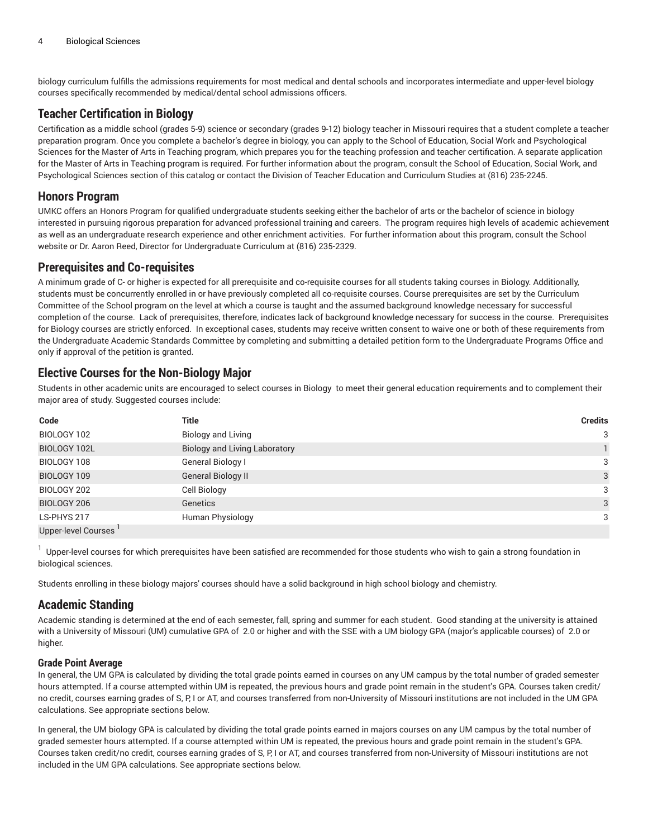biology curriculum fulfills the admissions requirements for most medical and dental schools and incorporates intermediate and upper-level biology courses specifically recommended by medical/dental school admissions officers.

### **Teacher Certification in Biology**

Certification as a middle school (grades 5-9) science or secondary (grades 9-12) biology teacher in Missouri requires that a student complete a teacher preparation program. Once you complete a bachelor's degree in biology, you can apply to the School of Education, Social Work and Psychological Sciences for the Master of Arts in Teaching program, which prepares you for the teaching profession and teacher certification. A separate application for the Master of Arts in Teaching program is required. For further information about the program, consult the School of Education, Social Work, and Psychological Sciences section of this catalog or contact the Division of Teacher Education and Curriculum Studies at (816) 235-2245.

### **Honors Program**

UMKC offers an Honors Program for qualified undergraduate students seeking either the bachelor of arts or the bachelor of science in biology interested in pursuing rigorous preparation for advanced professional training and careers. The program requires high levels of academic achievement as well as an undergraduate research experience and other enrichment activities. For further information about this program, consult the School website or Dr. Aaron Reed, Director for Undergraduate Curriculum at (816) 235-2329.

### **Prerequisites and Co-requisites**

A minimum grade of C- or higher is expected for all prerequisite and co-requisite courses for all students taking courses in Biology. Additionally, students must be concurrently enrolled in or have previously completed all co-requisite courses. Course prerequisites are set by the Curriculum Committee of the School program on the level at which a course is taught and the assumed background knowledge necessary for successful completion of the course. Lack of prerequisites, therefore, indicates lack of background knowledge necessary for success in the course. Prerequisites for Biology courses are strictly enforced. In exceptional cases, students may receive written consent to waive one or both of these requirements from the Undergraduate Academic Standards Committee by completing and submitting a detailed petition form to the Undergraduate Programs Office and only if approval of the petition is granted.

### **Elective Courses for the Non-Biology Major**

Students in other academic units are encouraged to select courses in Biology to meet their general education requirements and to complement their major area of study. Suggested courses include:

| Code                | <b>Title</b>                         | <b>Credits</b> |
|---------------------|--------------------------------------|----------------|
| BIOLOGY 102         | <b>Biology and Living</b>            | 3              |
| BIOLOGY 102L        | <b>Biology and Living Laboratory</b> |                |
| BIOLOGY 108         | General Biology I                    | 3              |
| BIOLOGY 109         | <b>General Biology II</b>            | 3              |
| BIOLOGY 202         | Cell Biology                         | 3              |
| BIOLOGY 206         | Genetics                             | 3              |
| LS-PHYS 217         | Human Physiology                     | 3              |
| Upper-level Courses |                                      |                |

1 Upper-level courses for which prerequisites have been satisfied are recommended for those students who wish to gain a strong foundation in biological sciences.

Students enrolling in these biology majors' courses should have a solid background in high school biology and chemistry.

### **Academic Standing**

Academic standing is determined at the end of each semester, fall, spring and summer for each student. Good standing at the university is attained with a University of Missouri (UM) cumulative GPA of 2.0 or higher and with the SSE with a UM biology GPA (major's applicable courses) of 2.0 or higher.

#### **Grade Point Average**

In general, the UM GPA is calculated by dividing the total grade points earned in courses on any UM campus by the total number of graded semester hours attempted. If a course attempted within UM is repeated, the previous hours and grade point remain in the student's GPA. Courses taken credit/ no credit, courses earning grades of S, P, I or AT, and courses transferred from non-University of Missouri institutions are not included in the UM GPA calculations. See appropriate sections below.

In general, the UM biology GPA is calculated by dividing the total grade points earned in majors courses on any UM campus by the total number of graded semester hours attempted. If a course attempted within UM is repeated, the previous hours and grade point remain in the student's GPA. Courses taken credit/no credit, courses earning grades of S, P, I or AT, and courses transferred from non-University of Missouri institutions are not included in the UM GPA calculations. See appropriate sections below.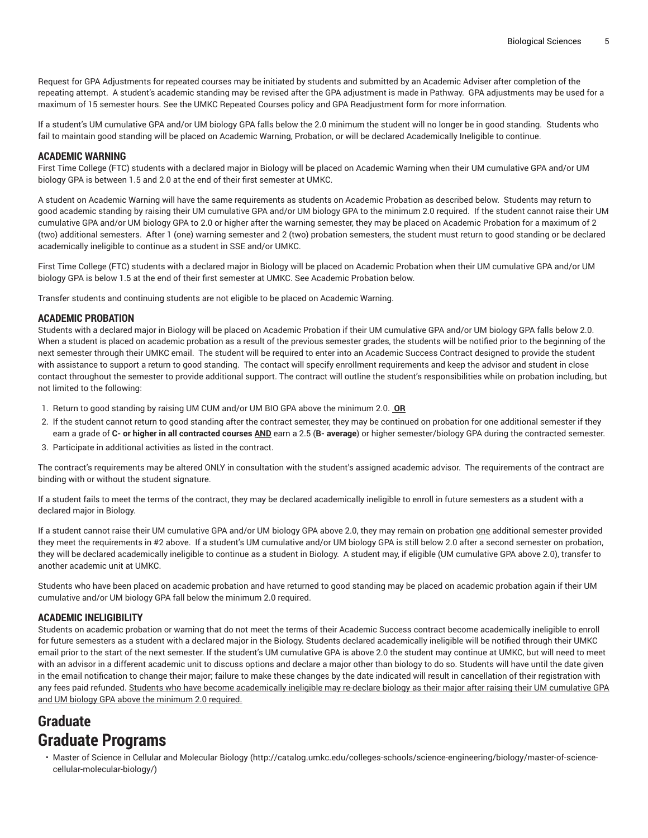Request for GPA Adjustments for repeated courses may be initiated by students and submitted by an Academic Adviser after completion of the repeating attempt. A student's academic standing may be revised after the GPA adjustment is made in Pathway. GPA adjustments may be used for a maximum of 15 semester hours. See the UMKC Repeated Courses policy and GPA Readjustment form for more information.

If a student's UM cumulative GPA and/or UM biology GPA falls below the 2.0 minimum the student will no longer be in good standing. Students who fail to maintain good standing will be placed on Academic Warning, Probation, or will be declared Academically Ineligible to continue.

#### **ACADEMIC WARNING**

First Time College (FTC) students with a declared major in Biology will be placed on Academic Warning when their UM cumulative GPA and/or UM biology GPA is between 1.5 and 2.0 at the end of their first semester at UMKC.

A student on Academic Warning will have the same requirements as students on Academic Probation as described below. Students may return to good academic standing by raising their UM cumulative GPA and/or UM biology GPA to the minimum 2.0 required. If the student cannot raise their UM cumulative GPA and/or UM biology GPA to 2.0 or higher after the warning semester, they may be placed on Academic Probation for a maximum of 2 (two) additional semesters. After 1 (one) warning semester and 2 (two) probation semesters, the student must return to good standing or be declared academically ineligible to continue as a student in SSE and/or UMKC.

First Time College (FTC) students with a declared major in Biology will be placed on Academic Probation when their UM cumulative GPA and/or UM biology GPA is below 1.5 at the end of their first semester at UMKC. See Academic Probation below.

Transfer students and continuing students are not eligible to be placed on Academic Warning.

#### **ACADEMIC PROBATION**

Students with a declared major in Biology will be placed on Academic Probation if their UM cumulative GPA and/or UM biology GPA falls below 2.0. When a student is placed on academic probation as a result of the previous semester grades, the students will be notified prior to the beginning of the next semester through their UMKC email. The student will be required to enter into an Academic Success Contract designed to provide the student with assistance to support a return to good standing. The contact will specify enrollment requirements and keep the advisor and student in close contact throughout the semester to provide additional support. The contract will outline the student's responsibilities while on probation including, but not limited to the following:

- 1. Return to good standing by raising UM CUM and/or UM BIO GPA above the minimum 2.0. **OR**
- 2. If the student cannot return to good standing after the contract semester, they may be continued on probation for one additional semester if they earn a grade of **C- or higher in all contracted courses AND** earn a 2.5 (**B- average**) or higher semester/biology GPA during the contracted semester.
- 3. Participate in additional activities as listed in the contract.

The contract's requirements may be altered ONLY in consultation with the student's assigned academic advisor. The requirements of the contract are binding with or without the student signature.

If a student fails to meet the terms of the contract, they may be declared academically ineligible to enroll in future semesters as a student with a declared major in Biology.

If a student cannot raise their UM cumulative GPA and/or UM biology GPA above 2.0, they may remain on probation one additional semester provided they meet the requirements in #2 above. If a student's UM cumulative and/or UM biology GPA is still below 2.0 after a second semester on probation, they will be declared academically ineligible to continue as a student in Biology. A student may, if eligible (UM cumulative GPA above 2.0), transfer to another academic unit at UMKC.

Students who have been placed on academic probation and have returned to good standing may be placed on academic probation again if their UM cumulative and/or UM biology GPA fall below the minimum 2.0 required.

#### **ACADEMIC INELIGIBILITY**

Students on academic probation or warning that do not meet the terms of their Academic Success contract become academically ineligible to enroll for future semesters as a student with a declared major in the Biology. Students declared academically ineligible will be notified through their UMKC email prior to the start of the next semester. If the student's UM cumulative GPA is above 2.0 the student may continue at UMKC, but will need to meet with an advisor in a different academic unit to discuss options and declare a major other than biology to do so. Students will have until the date given in the email notification to change their major; failure to make these changes by the date indicated will result in cancellation of their registration with any fees paid refunded. Students who have become academically ineligible may re-declare biology as their major after raising their UM cumulative GPA and UM biology GPA above the minimum 2.0 required.

## **Graduate Graduate Programs**

• [Master of Science in Cellular and Molecular Biology](http://catalog.umkc.edu/colleges-schools/science-engineering/biology/master-of-science-cellular-molecular-biology/) [\(http://catalog.umkc.edu/colleges-schools/science-engineering/biology/master-of-science](http://catalog.umkc.edu/colleges-schools/science-engineering/biology/master-of-science-cellular-molecular-biology/)[cellular-molecular-biology/\)](http://catalog.umkc.edu/colleges-schools/science-engineering/biology/master-of-science-cellular-molecular-biology/)